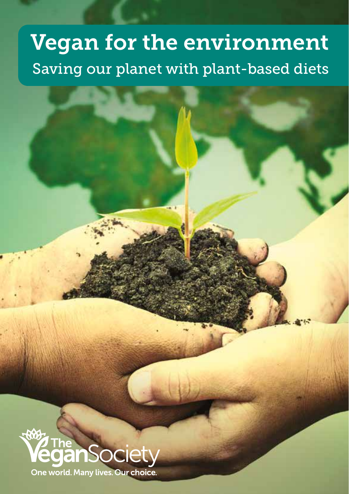# Vegan for the environment Saving our planet with plant-based diets

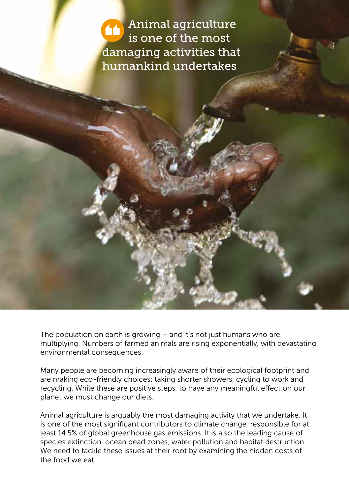Animal agriculture is one of the most damaging activities that humankind undertakes

The population on earth is growing – and it's not just humans who are multiplying. Numbers of farmed animals are rising exponentially, with devastating environmental consequences.

Many people are becoming increasingly aware of their ecological footprint and are making eco-friendly choices: taking shorter showers, cycling to work and recycling. While these are positive steps, to have any meaningful effect on our planet we must change our diets.

Animal agriculture is arguably the most damaging activity that we undertake. It is one of the most significant contributors to climate change, responsible for at least 14.5% of global greenhouse gas emissions. It is also the leading cause of species extinction, ocean dead zones, water pollution and habitat destruction. We need to tackle these issues at their root by examining the hidden costs of the food we eat.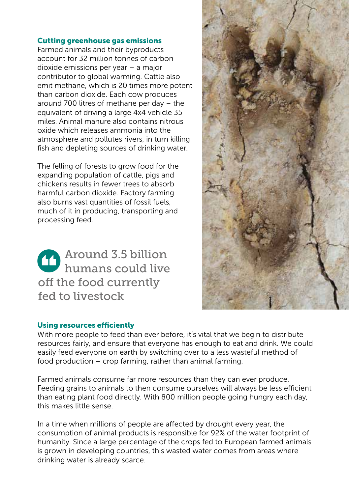### Cutting greenhouse gas emissions

Farmed animals and their byproducts account for 32 million tonnes of carbon dioxide emissions per year – a major contributor to global warming. Cattle also emit methane, which is 20 times more potent than carbon dioxide. Each cow produces around 700 litres of methane per day – the equivalent of driving a large 4x4 vehicle 35 miles. Animal manure also contains nitrous oxide which releases ammonia into the atmosphere and pollutes rivers, in turn killing fish and depleting sources of drinking water.

The felling of forests to grow food for the expanding population of cattle, pigs and chickens results in fewer trees to absorb harmful carbon dioxide. Factory farming also burns vast quantities of fossil fuels, much of it in producing, transporting and processing feed.

Around 3.5 billion humans could live off the food currently fed to livestock

#### Using resources efficiently

With more people to feed than ever before, it's vital that we begin to distribute resources fairly, and ensure that everyone has enough to eat and drink. We could easily feed everyone on earth by switching over to a less wasteful method of food production – crop farming, rather than animal farming.

Farmed animals consume far more resources than they can ever produce. Feeding grains to animals to then consume ourselves will always be less efficient than eating plant food directly. With 800 million people going hungry each day, this makes little sense.

In a time when millions of people are affected by drought every year, the consumption of animal products is responsible for 92% of the water footprint of humanity. Since a large percentage of the crops fed to European farmed animals is grown in developing countries, this wasted water comes from areas where drinking water is already scarce.